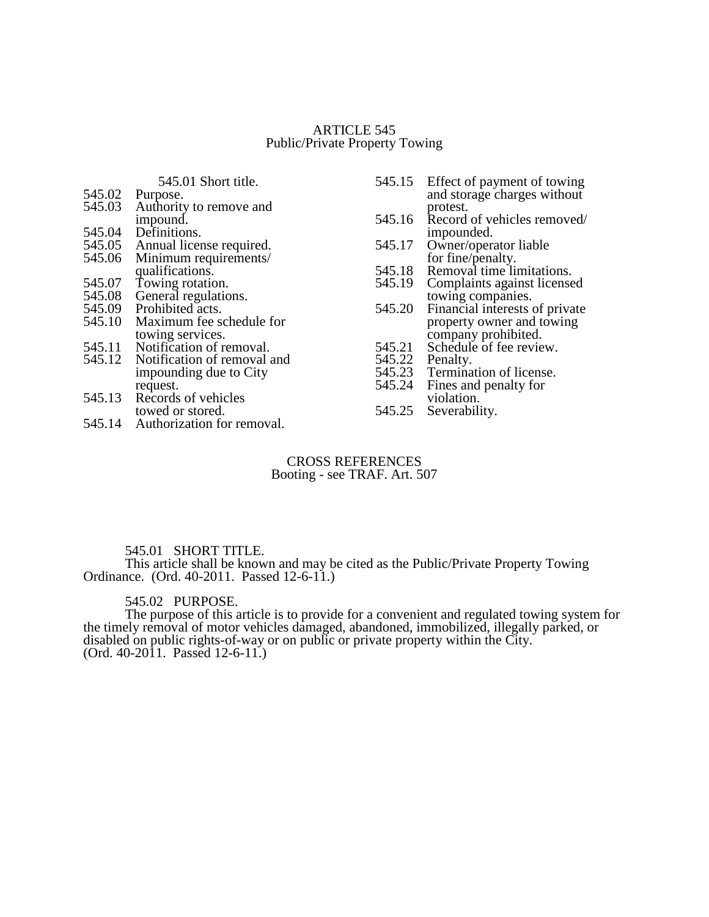## ARTICLE 545 Public/Private Property Towing

# 545.01 Short title.

| 545.02 Purpose.                |
|--------------------------------|
| 545.03 Authority to remove and |

- impound.
- 
- 545.04 Definitions.<br>545.05 Annual licer
- 545.05 Annual license required.<br>545.06 Minimum requirements/ Minimum requirements/ qualifications.
- 545.07 Towing rotation.
- 
- 545.08 General regulations.<br>545.09 Prohibited acts.
- 545.09 Prohibited acts.<br>545.10 Maximum fee so Maximum fee schedule for towing services.
- 
- 545.11 Notification of removal.<br>545.12 Notification of removal a Notification of removal and impounding due to City request.
- 545.13 Records of vehicles towed or stored.
- 545.14 Authorization for removal.
- 545.15 Effect of payment of towing and storage charges without protest.
- 545.16 Record of vehicles removed/ impounded.
- 545.17 Owner/operator liable for fine/penalty.
- 545.18 Removal time limitations.<br>545.19 Complaints against license
- Complaints against licensed towing companies.
- 545.20 Financial interests of private property owner and towing company prohibited.
- Schedule of fee review.<br>Penalty.
- 545.21<br>545.22<br>545.23
- 545.23 Termination of license.<br>545.24 Fines and penalty for
- Fines and penalty for violation.
- 545.25 Severability.

## CROSS REFERENCES Booting - see TRAF. Art. 507

# 545.01 SHORT TITLE.

This article shall be known and may be cited as the Public/Private Property Towing Ordinance. (Ord. 40-2011. Passed 12-6-11.)

# 545.02 PURPOSE.

The purpose of this article is to provide for a convenient and regulated towing system for the timely removal of motor vehicles damaged, abandoned, immobilized, illegally parked, or disabled on public rights-of-way or on public or private property within the City. (Ord. 40-2011. Passed 12-6-11.)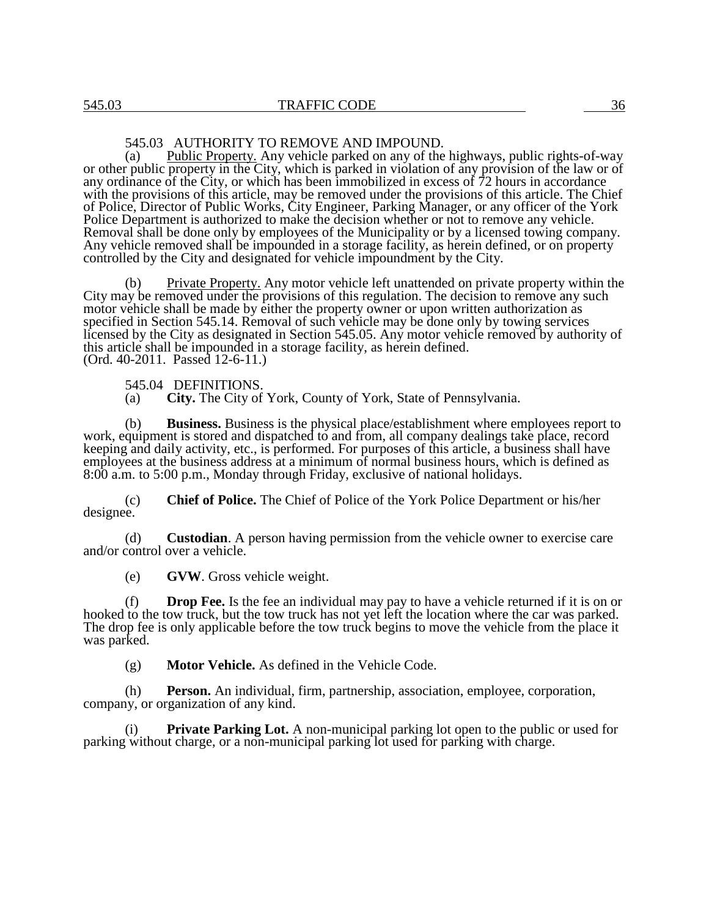#### 545.03 AUTHORITY TO REMOVE AND IMPOUND.

(a) Public Property. Any vehicle parked on any of the highways, public rights-of-way or other public property in the City, which is parked in violation of any provision of the law or of any ordinance of the City, or which has been immobilized in excess of 72 hours in accordance with the provisions of this article, may be removed under the provisions of this article. The Chief of Police, Director of Public Works, City Engineer, Parking Manager, or any officer of the York Police Department is authorized to make the decision whether or not to remove any vehicle. Removal shall be done only by employees of the Municipality or by a licensed towing company. Any vehicle removed shall be impounded in a storage facility, as herein defined, or on property controlled by the City and designated for vehicle impoundment by the City.

(b) Private Property. Any motor vehicle left unattended on private property within the City may be removed under the provisions of this regulation. The decision to remove any such motor vehicle shall be made by either the property owner or upon written authorization as specified in Section 545.14. Removal of such vehicle may be done only by towing services licensed by the City as designated in Section 545.05. Any motor vehicle removed by authority of this article shall be impounded in a storage facility, as herein defined. (Ord. 40-2011. Passed 12-6-11.)

545.04 DEFINITIONS.

(a) **City.** The City of York, County of York, State of Pennsylvania.

(b) **Business.** Business is the physical place/establishment where employees report to work, equipment is stored and dispatched to and from, all company dealings take place, record keeping and daily activity, etc., is performed. For purposes of this article, a business shall have employees at the business address at a minimum of normal business hours, which is defined as 8:00 a.m. to 5:00 p.m., Monday through Friday, exclusive of national holidays.

(c) **Chief of Police.** The Chief of Police of the York Police Department or his/her designee.

(d) **Custodian**. A person having permission from the vehicle owner to exercise care and/or control over a vehicle.

(e) **GVW**. Gross vehicle weight.

(f) **Drop Fee.** Is the fee an individual may pay to have a vehicle returned if it is on or hooked to the tow truck, but the tow truck has not yet left the location where the car was parked. The drop fee is only applicable before the tow truck begins to move the vehicle from the place it was parked.

(g) **Motor Vehicle.** As defined in the Vehicle Code.

(h) **Person.** An individual, firm, partnership, association, employee, corporation, company, or organization of any kind.

**Private Parking Lot.** A non-municipal parking lot open to the public or used for parking without charge, or a non-municipal parking lot used for parking with charge.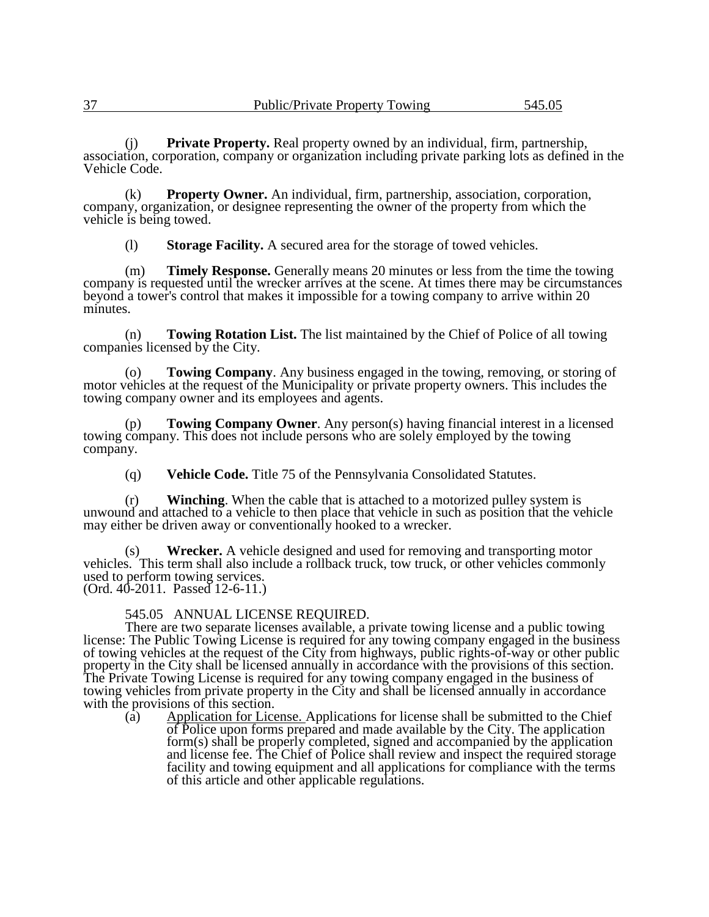(j) **Private Property.** Real property owned by an individual, firm, partnership, association, corporation, company or organization including private parking lots as defined in the Vehicle Code.

(k) **Property Owner.** An individual, firm, partnership, association, corporation, company, organization, or designee representing the owner of the property from which the vehicle is being towed.

(l) **Storage Facility.** A secured area for the storage of towed vehicles.

(m) **Timely Response.** Generally means 20 minutes or less from the time the towing company is requested until the wrecker arrives at the scene. At times there may be circumstances beyond a tower's control that makes it impossible for a towing company to arrive within 20 minutes.

(n) **Towing Rotation List.** The list maintained by the Chief of Police of all towing companies licensed by the City.

(o) **Towing Company**. Any business engaged in the towing, removing, or storing of motor vehicles at the request of the Municipality or private property owners. This includes the towing company owner and its employees and agents.

(p) **Towing Company Owner**. Any person(s) having financial interest in a licensed towing company. This does not include persons who are solely employed by the towing company.

(q) **Vehicle Code.** Title 75 of the Pennsylvania Consolidated Statutes.

(r) **Winching**. When the cable that is attached to a motorized pulley system is unwound and attached to a vehicle to then place that vehicle in such as position that the vehicle may either be driven away or conventionally hooked to a wrecker.

(s) **Wrecker.** A vehicle designed and used for removing and transporting motor vehicles. This term shall also include a rollback truck, tow truck, or other vehicles commonly used to perform towing services. (Ord. 40-2011. Passed 12-6-11.)

545.05 ANNUAL LICENSE REQUIRED.

There are two separate licenses available, a private towing license and a public towing license: The Public Towing License is required for any towing company engaged in the business of towing vehicles at the request of the City from highways, public rights-of-way or other public property in the City shall be licensed annually in accordance with the provisions of this section. The Private Towing License is required for any towing company engaged in the business of towing vehicles from private property in the City and shall be licensed annually in accordance with the provisions of this section.

(a) Application for License. Applications for license shall be submitted to the Chief of Police upon forms prepared and made available by the City. The application form(s) shall be properly completed, signed and accompanied by the application and license fee. The Chief of Police shall review and inspect the required storage facility and towing equipment and all applications for compliance with the terms of this article and other applicable regulations.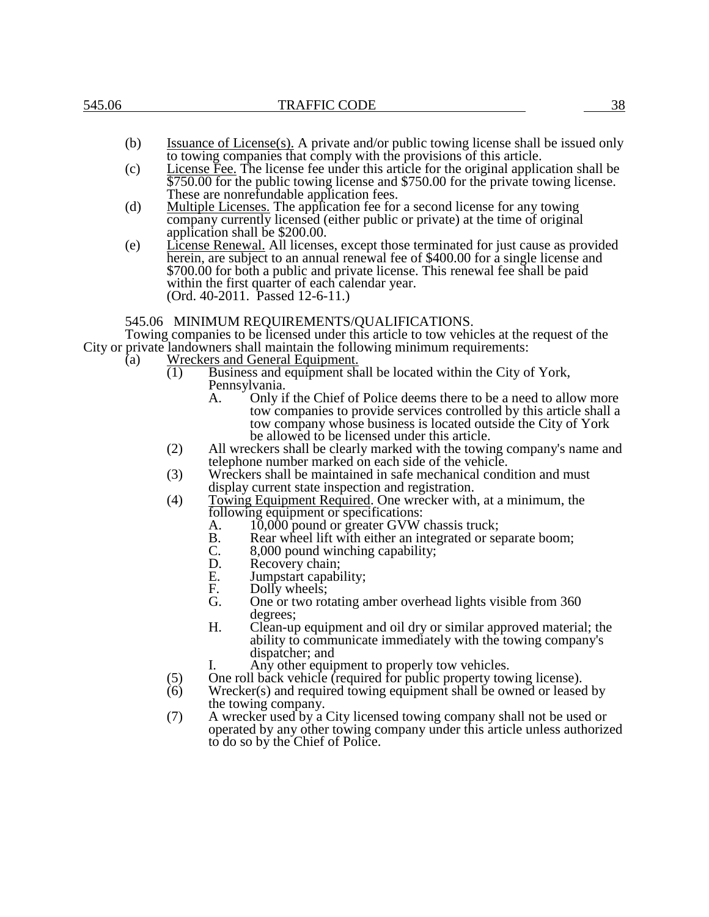- (b) Issuance of License(s). A private and/or public towing license shall be issued only to towing companies that comply with the provisions of this article.
- (c) License Fee. The license fee under this article for the original application shall be \$750.00 for the public towing license and \$750.00 for the private towing license. These are nonrefundable application fees.
- (d) Multiple Licenses. The application fee for a second license for any towing company currently licensed (either public or private) at the time of original application shall be \$200.00.
- (e) License Renewal. All licenses, except those terminated for just cause as provided herein, are subject to an annual renewal fee of \$400.00 for a single license and \$700.00 for both a public and private license. This renewal fee shall be paid within the first quarter of each calendar year. (Ord. 40-2011. Passed 12-6-11.)

#### 545.06 MINIMUM REQUIREMENTS/QUALIFICATIONS.

Towing companies to be licensed under this article to tow vehicles at the request of the City or private landowners shall maintain the following minimum requirements:

- (a) Wreckers and General Equipment.
	- (1) Business and equipment shall be located within the City of York, Pennsylvania.
		- A. Only if the Chief of Police deems there to be a need to allow more tow companies to provide services controlled by this article shall a tow company whose business is located outside the City of York be allowed to be licensed under this article.
	- (2) All wreckers shall be clearly marked with the towing company's name and telephone number marked on each side of the vehicle.
	- (3) Wreckers shall be maintained in safe mechanical condition and must display current state inspection and registration.
	- (4) Towing Equipment Required. One wrecker with, at a minimum, the following equipment or specifications:
		- A. 10,000 pound or greater GVW chassis truck;<br>B. Rear wheel lift with either an integrated or se
		- B. Rear wheel lift with either an integrated or separate boom;<br>C. 8,000 pound winching capability;
		- C. 8,000 pound winching capability;<br>D. Recovery chain:
		- Recovery chain;
		- E. Jumpstart capability;<br>F. Dolly wheels:
		- F. Dolly wheels;<br>G. One or two rot
		- One or two rotating amber overhead lights visible from 360 degrees;
		- H. Clean-up equipment and oil dry or similar approved material; the ability to communicate immediately with the towing company's dispatcher; and
			- Any other equipment to properly tow vehicles.
	- (5) One roll back vehicle (required for public property towing license).
	- (6) Wrecker(s) and required towing equipment shall be owned or leased by the towing company.
	- (7) A wrecker used by a City licensed towing company shall not be used or operated by any other towing company under this article unless authorized to do so by the Chief of Police.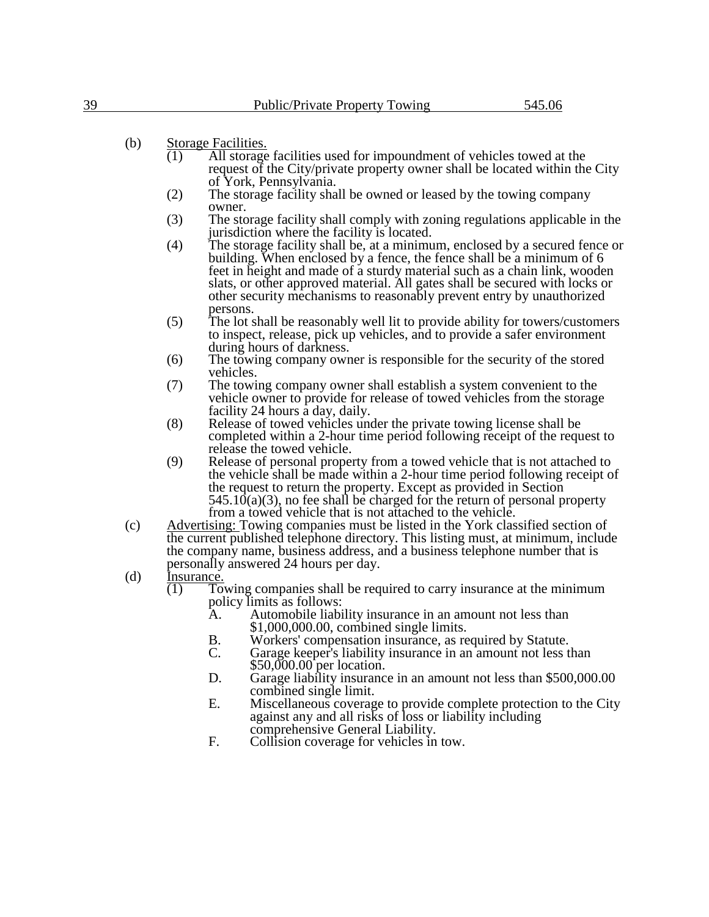# (b) Storage Facilities.

- (1) All storage facilities used for impoundment of vehicles towed at the request of the City/private property owner shall be located within the City of York, Pennsylvania.
- (2) The storage facility shall be owned or leased by the towing company owner.
- (3) The storage facility shall comply with zoning regulations applicable in the jurisdiction where the facility is located.
- (4) The storage facility shall be, at a minimum, enclosed by a secured fence or building. When enclosed by a fence, the fence shall be a minimum of 6 feet in height and made of a sturdy material such as a chain link, wooden slats, or other approved material. All gates shall be secured with locks or other security mechanisms to reasonably prevent entry by unauthorized persons.
- (5) The lot shall be reasonably well lit to provide ability for towers/customers to inspect, release, pick up vehicles, and to provide a safer environment during hours of darkness.
- (6) The towing company owner is responsible for the security of the stored vehicles.
- (7) The towing company owner shall establish a system convenient to the vehicle owner to provide for release of towed vehicles from the storage facility 24 hours a day, daily.
- (8) Release of towed vehicles under the private towing license shall be completed within a 2-hour time period following receipt of the request to release the towed vehicle.
- (9) Release of personal property from a towed vehicle that is not attached to the vehicle shall be made within a 2-hour time period following receipt of the request to return the property. Except as provided in Section  $545.10(a)(3)$ , no fee shall be charged for the return of personal property from a towed vehicle that is not attached to the vehicle.
- (c) Advertising: Towing companies must be listed in the York classified section of the current published telephone directory. This listing must, at minimum, include the company name, business address, and a business telephone number that is personally answered 24 hours per day.
- (d) Insurance.
	- $(1)$  Towing companies shall be required to carry insurance at the minimum policy limits as follows:<br>A. Automobile liabi
		- Automobile liability insurance in an amount not less than \$1,000,000.00, combined single limits.
		- B. Workers' compensation insurance, as required by Statute.<br>C. Garage keeper's liability insurance in an amount not less t
		- Garage keeper's liability insurance in an amount not less than \$50,000.00 per location.
		- D. Garage liability insurance in an amount not less than \$500,000.00 combined single limit.
		- E. Miscellaneous coverage to provide complete protection to the City against any and all risks of loss or liability including comprehensive General Liability.
		- F. Collision coverage for vehicles in tow.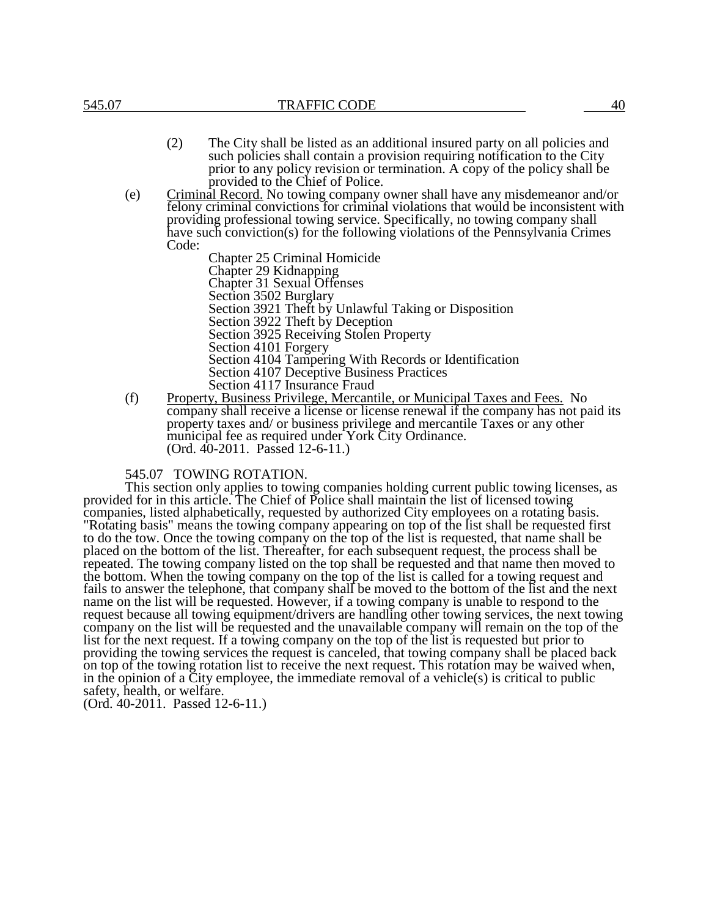- (2) The City shall be listed as an additional insured party on all policies and such policies shall contain a provision requiring notification to the City prior to any policy revision or termination. A copy of the policy shall be provided to the Chief of Police.
- (e) Criminal Record. No towing company owner shall have any misdemeanor and/or felony criminal convictions for criminal violations that would be inconsistent with providing professional towing service. Specifically, no towing company shall have such conviction(s) for the following violations of the Pennsylvania Crimes Code:

Chapter 25 Criminal Homicide Chapter 29 Kidnapping Chapter 31 Sexual Offenses Section 3502 Burglary Section 3921 Theft by Unlawful Taking or Disposition Section 3922 Theft by Deception Section 3925 Receiving Stolen Property Section 4101 Forgery Section 4104 Tampering With Records or Identification Section 4107 Deceptive Business Practices Section 4117 Insurance Fraud

(f) Property, Business Privilege, Mercantile, or Municipal Taxes and Fees. No company shall receive a license or license renewal if the company has not paid its property taxes and/ or business privilege and mercantile Taxes or any other municipal fee as required under York City Ordinance. (Ord. 40-2011. Passed 12-6-11.)

### 545.07 TOWING ROTATION.

This section only applies to towing companies holding current public towing licenses, as provided for in this article. The Chief of Police shall maintain the list of licensed towing companies, listed alphabetically, requested by authorized City employees on a rotating basis. "Rotating basis" means the towing company appearing on top of the list shall be requested first to do the tow. Once the towing company on the top of the list is requested, that name shall be placed on the bottom of the list. Thereafter, for each subsequent request, the process shall be repeated. The towing company listed on the top shall be requested and that name then moved to the bottom. When the towing company on the top of the list is called for a towing request and fails to answer the telephone, that company shall be moved to the bottom of the list and the next name on the list will be requested. However, if a towing company is unable to respond to the request because all towing equipment/drivers are handling other towing services, the next towing company on the list will be requested and the unavailable company will remain on the top of the list for the next request. If a towing company on the top of the list is requested but prior to providing the towing services the request is canceled, that towing company shall be placed back on top of the towing rotation list to receive the next request. This rotation may be waived when, in the opinion of a City employee, the immediate removal of a vehicle(s) is critical to public safety, health, or welfare.

(Ord. 40-2011. Passed 12-6-11.)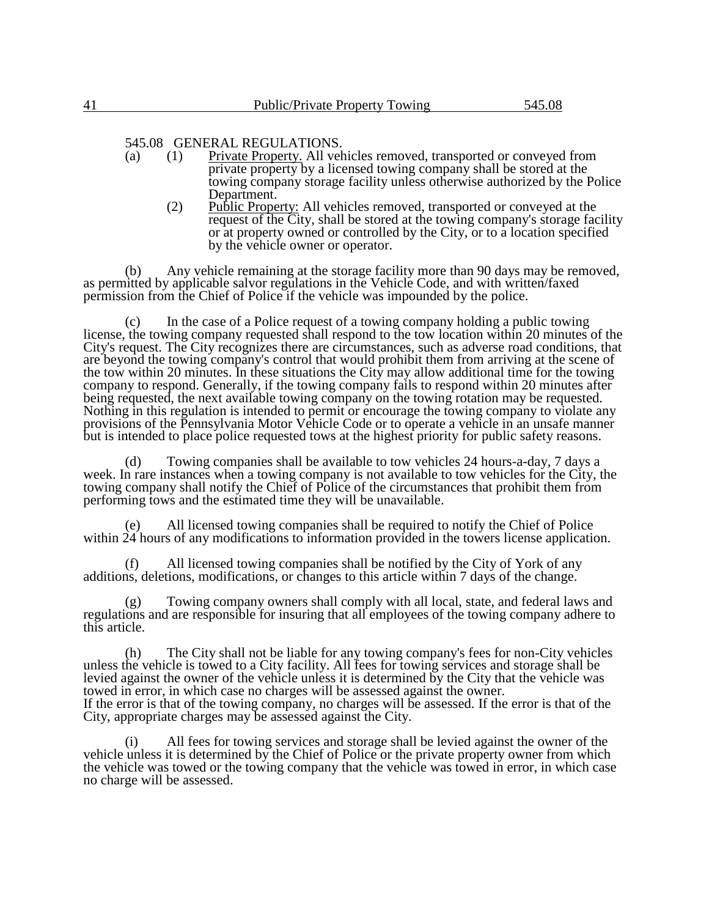## 545.08 GENERAL REGULATIONS.

- (a) (1) Private Property. All vehicles removed, transported or conveyed from private property by a licensed towing company shall be stored at the towing company storage facility unless otherwise authorized by the Police Department.
	- (2) Public Property: All vehicles removed, transported or conveyed at the request of the City, shall be stored at the towing company's storage facility or at property owned or controlled by the City, or to a location specified by the vehicle owner or operator.

(b) Any vehicle remaining at the storage facility more than 90 days may be removed, as permitted by applicable salvor regulations in the Vehicle Code, and with written/faxed permission from the Chief of Police if the vehicle was impounded by the police.

(c) In the case of a Police request of a towing company holding a public towing license, the towing company requested shall respond to the tow location within 20 minutes of the City's request. The City recognizes there are circumstances, such as adverse road conditions, that are beyond the towing company's control that would prohibit them from arriving at the scene of the tow within 20 minutes. In these situations the City may allow additional time for the towing company to respond. Generally, if the towing company fails to respond within 20 minutes after being requested, the next available towing company on the towing rotation may be requested. Nothing in this regulation is intended to permit or encourage the towing company to violate any provisions of the Pennsylvania Motor Vehicle Code or to operate a vehicle in an unsafe manner but is intended to place police requested tows at the highest priority for public safety reasons.

(d) Towing companies shall be available to tow vehicles 24 hours-a-day, 7 days a week. In rare instances when a towing company is not available to tow vehicles for the City, the towing company shall notify the Chief of Police of the circumstances that prohibit them from performing tows and the estimated time they will be unavailable.

(e) All licensed towing companies shall be required to notify the Chief of Police within 24 hours of any modifications to information provided in the towers license application.

(f) All licensed towing companies shall be notified by the City of York of any additions, deletions, modifications, or changes to this article within 7 days of the change.

(g) Towing company owners shall comply with all local, state, and federal laws and regulations and are responsible for insuring that all employees of the towing company adhere to this article.

(h) The City shall not be liable for any towing company's fees for non-City vehicles unless the vehicle is towed to a City facility. All fees for towing services and storage shall be levied against the owner of the vehicle unless it is determined by the City that the vehicle was towed in error, in which case no charges will be assessed against the owner. If the error is that of the towing company, no charges will be assessed. If the error is that of the City, appropriate charges may be assessed against the City.

All fees for towing services and storage shall be levied against the owner of the vehicle unless it is determined by the Chief of Police or the private property owner from which the vehicle was towed or the towing company that the vehicle was towed in error, in which case no charge will be assessed.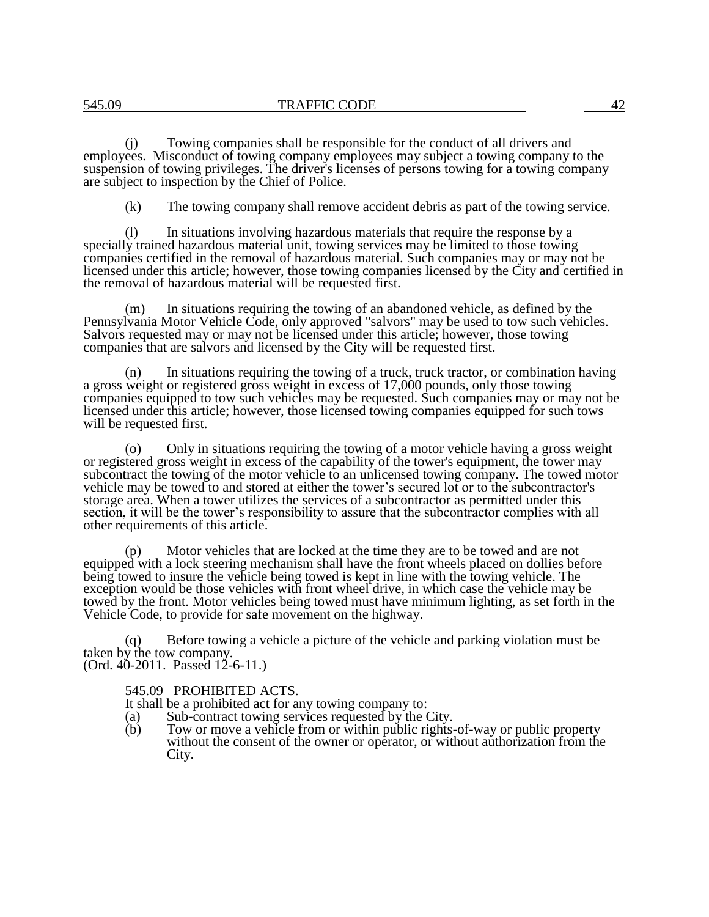(j) Towing companies shall be responsible for the conduct of all drivers and employees. Misconduct of towing company employees may subject a towing company to the suspension of towing privileges. The driver's licenses of persons towing for a towing company are subject to inspection by the Chief of Police.

(k) The towing company shall remove accident debris as part of the towing service.

(l) In situations involving hazardous materials that require the response by a specially trained hazardous material unit, towing services may be limited to those towing companies certified in the removal of hazardous material. Such companies may or may not be licensed under this article; however, those towing companies licensed by the City and certified in the removal of hazardous material will be requested first.

(m) In situations requiring the towing of an abandoned vehicle, as defined by the Pennsylvania Motor Vehicle Code, only approved "salvors" may be used to tow such vehicles. Salvors requested may or may not be licensed under this article; however, those towing companies that are salvors and licensed by the City will be requested first.

(n) In situations requiring the towing of a truck, truck tractor, or combination having a gross weight or registered gross weight in excess of 17,000 pounds, only those towing companies equipped to tow such vehicles may be requested. Such companies may or may not be licensed under this article; however, those licensed towing companies equipped for such tows will be requested first.

(o) Only in situations requiring the towing of a motor vehicle having a gross weight or registered gross weight in excess of the capability of the tower's equipment, the tower may subcontract the towing of the motor vehicle to an unlicensed towing company. The towed motor vehicle may be towed to and stored at either the tower's secured lot or to the subcontractor's storage area. When a tower utilizes the services of a subcontractor as permitted under this section, it will be the tower's responsibility to assure that the subcontractor complies with all other requirements of this article.

Motor vehicles that are locked at the time they are to be towed and are not equipped with a lock steering mechanism shall have the front wheels placed on dollies before being towed to insure the vehicle being towed is kept in line with the towing vehicle. The exception would be those vehicles with front wheel drive, in which case the vehicle may be towed by the front. Motor vehicles being towed must have minimum lighting, as set forth in the Vehicle Code, to provide for safe movement on the highway.

(q) Before towing a vehicle a picture of the vehicle and parking violation must be taken by the tow company. (Ord. 40-2011. Passed 12-6-11.)

## 545.09 PROHIBITED ACTS.

- It shall be a prohibited act for any towing company to:
- (a) Sub-contract towing services requested by the City.
- (b) Tow or move a vehicle from or within public rights-of-way or public property without the consent of the owner or operator, or without authorization from the City.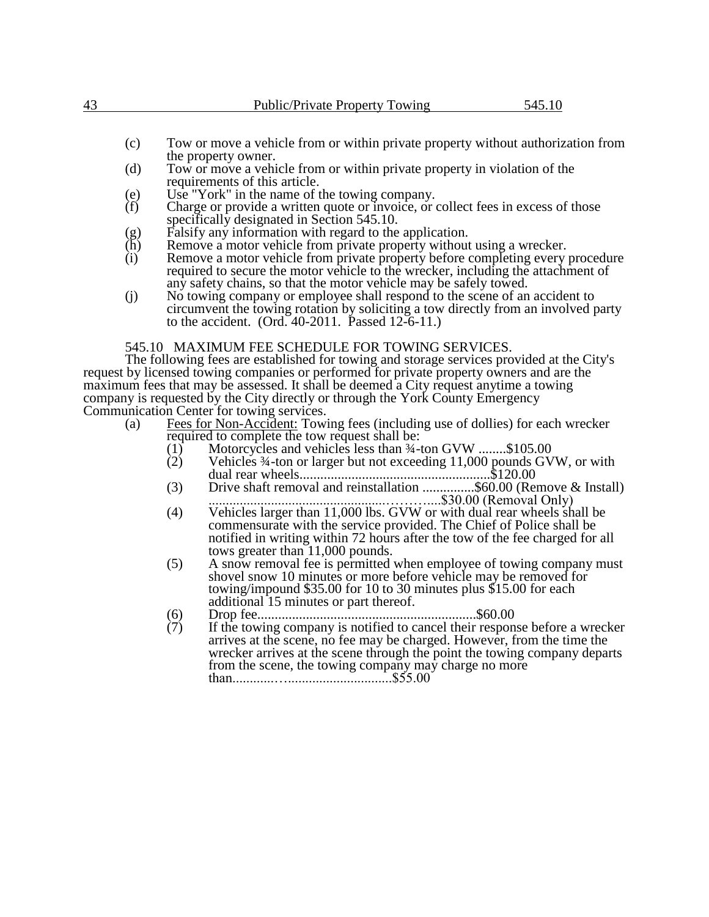- (c) Tow or move a vehicle from or within private property without authorization from the property owner.
- (d) Tow or move a vehicle from or within private property in violation of the requirements of this article.
- (e) Use "York" in the name of the towing company.<br>
(f) Charge or provide a written quote or invoice, or  $\alpha$
- Charge or provide a written quote or invoice, or collect fees in excess of those specifically designated in Section 545.10.
- (g) Falsify any information with regard to the application.<br>
(h) Remove a motor vehicle from private property without
- $(h)$  Remove a motor vehicle from private property without using a wrecker.<br>(i) Remove a motor vehicle from private property before completing every
- Remove a motor vehicle from private property before completing every procedure required to secure the motor vehicle to the wrecker, including the attachment of any safety chains, so that the motor vehicle may be safely towed.
- (j) No towing company or employee shall respond to the scene of an accident to circumvent the towing rotation by soliciting a tow directly from an involved party to the accident. (Ord. 40-2011. Passed 12-6-11.)

# 545.10 MAXIMUM FEE SCHEDULE FOR TOWING SERVICES.

The following fees are established for towing and storage services provided at the City's request by licensed towing companies or performed for private property owners and are the maximum fees that may be assessed. It shall be deemed a City request anytime a towing company is requested by the City directly or through the York County Emergency Communication Center for towing services.

- (a) Fees for Non-Accident: Towing fees (including use of dollies) for each wrecker required to complete the tow request shall be:
	-
	- (1) Motorcycles and vehicles less than  $\frac{3}{4}$ -ton GVW ........\$105.00<br>(2) Vehicles  $\frac{3}{4}$ -ton or larger but not exceeding 11,000 pounds GV Vehicles  $\frac{3}{4}$ -ton or larger but not exceeding 11,000 pounds GVW, or with dual rear wheels.......................................................\$120.00
	- (3) Drive shaft removal and reinstallation ...............\$60.00 (Remove & Install) ...................................................………....\$30.00 (Removal Only)
	- (4) Vehicles larger than 11,000 lbs. GVW or with dual rear wheels shall be commensurate with the service provided. The Chief of Police shall be notified in writing within 72 hours after the tow of the fee charged for all tows greater than 11,000 pounds.
	- (5) A snow removal fee is permitted when employee of towing company must shovel snow 10 minutes or more before vehicle may be removed for towing/impound \$35.00 for 10 to 30 minutes plus \$15.00 for each additional 15 minutes or part thereof.
	- (6) Drop fee...............................................................\$60.00
	- $(7)$  If the towing company is notified to cancel their response before a wrecker arrives at the scene, no fee may be charged. However, from the time the wrecker arrives at the scene through the point the towing company departs from the scene, the towing company may charge no more than............…..............................\$55.00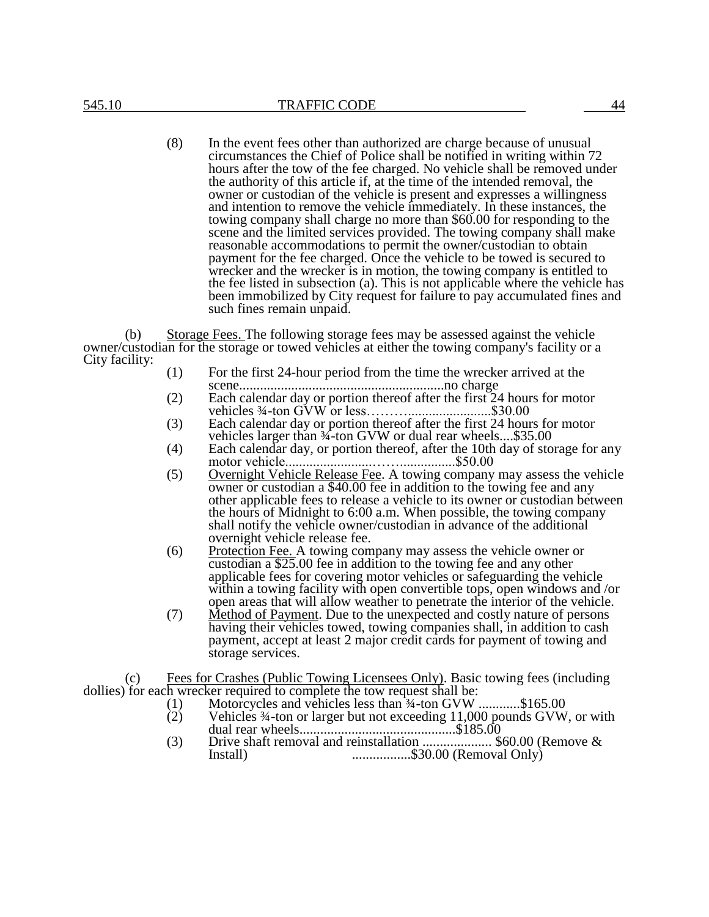(8) In the event fees other than authorized are charge because of unusual circumstances the Chief of Police shall be notified in writing within 72 hours after the tow of the fee charged. No vehicle shall be removed under the authority of this article if, at the time of the intended removal, the owner or custodian of the vehicle is present and expresses a willingness and intention to remove the vehicle immediately. In these instances, the towing company shall charge no more than \$60.00 for responding to the scene and the limited services provided. The towing company shall make reasonable accommodations to permit the owner/custodian to obtain payment for the fee charged. Once the vehicle to be towed is secured to wrecker and the wrecker is in motion, the towing company is entitled to the fee listed in subsection (a). This is not applicable where the vehicle has been immobilized by City request for failure to pay accumulated fines and such fines remain unpaid.

(b) Storage Fees. The following storage fees may be assessed against the vehicle owner/custodian for the storage or towed vehicles at either the towing company's facility or a City facility:

- (1) For the first 24-hour period from the time the wrecker arrived at the scene...........................................................no charge
- (2) Each calendar day or portion thereof after the first 24 hours for motor vehicles ¾-ton GVW or less………........................\$30.00
- (3) Each calendar day or portion thereof after the first 24 hours for motor vehicles larger than  $\frac{3}{4}$ -ton GVW or dual rear wheels....\$35.00
- (4) Each calendar day, or portion thereof, after the 10th day of storage for any motor vehicle.........................……................\$50.00
- (5) Overnight Vehicle Release Fee. A towing company may assess the vehicle owner or custodian a \$40.00 fee in addition to the towing fee and any other applicable fees to release a vehicle to its owner or custodian between the hours of Midnight to 6:00 a.m. When possible, the towing company shall notify the vehicle owner/custodian in advance of the additional overnight vehicle release fee.
- (6) Protection Fee. A towing company may assess the vehicle owner or custodian a \$25.00 fee in addition to the towing fee and any other applicable fees for covering motor vehicles or safeguarding the vehicle within a towing facility with open convertible tops, open windows and /or open areas that will allow weather to penetrate the interior of the vehicle.
- (7) Method of Payment. Due to the unexpected and costly nature of persons having their vehicles towed, towing companies shall, in addition to cash payment, accept at least 2 major credit cards for payment of towing and storage services.

(c) Fees for Crashes (Public Towing Licensees Only). Basic towing fees (including dollies) for each wrecker required to complete the tow request shall be:

- (1) Motorcycles and vehicles less than ¾-ton GVW ............\$165.00
- (2) Vehicles ¾-ton or larger but not exceeding 11,000 pounds GVW, or with dual rear wheels.............................................\$185.00
- (3) Drive shaft removal and reinstallation .................... \$60.00 (Remove & Install) .................\$30.00 (Removal Only)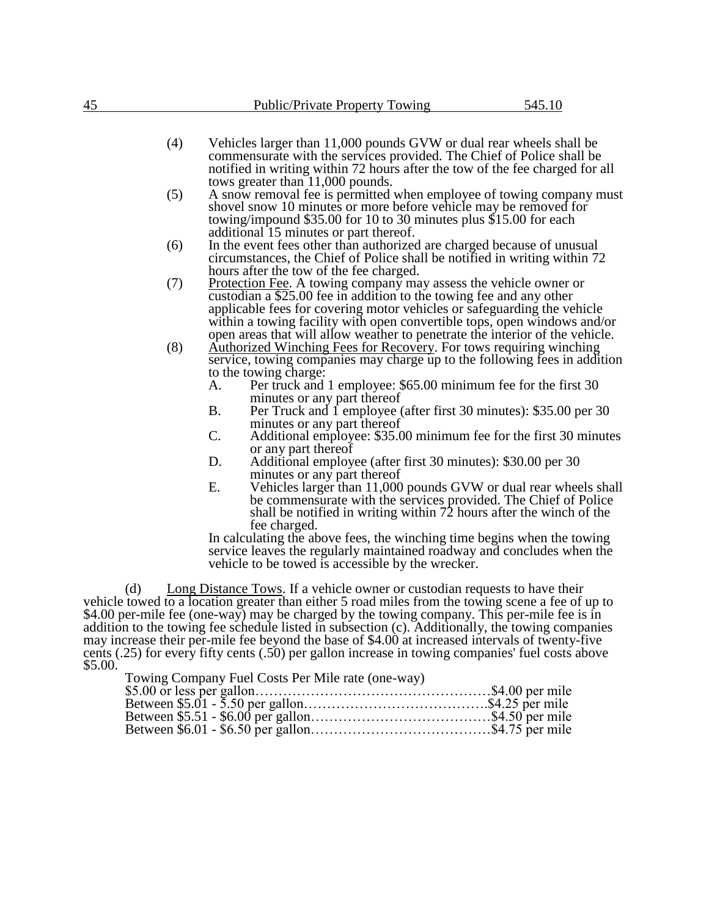- (4) Vehicles larger than 11,000 pounds GVW or dual rear wheels shall be commensurate with the services provided. The Chief of Police shall be notified in writing within 72 hours after the tow of the fee charged for all tows greater than 11,000 pounds.
- (5) A snow removal fee is permitted when employee of towing company must shovel snow 10 minutes or more before vehicle may be removed for towing/impound \$35.00 for 10 to 30 minutes plus \$15.00 for each additional 15 minutes or part thereof.
- (6) In the event fees other than authorized are charged because of unusual circumstances, the Chief of Police shall be notified in writing within 72 hours after the tow of the fee charged.
- (7) Protection Fee. A towing company may assess the vehicle owner or custodian a \$25.00 fee in addition to the towing fee and any other applicable fees for covering motor vehicles or safeguarding the vehicle within a towing facility with open convertible tops, open windows and/or open areas that will allow weather to penetrate the interior of the vehicle.
- (8) Authorized Winching Fees for Recovery. For tows requiring winching service, towing companies may charge up to the following fees in addition to the towing charge:<br>A. Per truck and
	- Per truck and 1 employee: \$65.00 minimum fee for the first 30 minutes or any part thereof
	- B. Per Truck and 1 employee (after first 30 minutes): \$35.00 per 30 minutes or any part thereof
	- C. Additional employee: \$35.00 minimum fee for the first 30 minutes or any part thereof
	- D. Additional employee (after first 30 minutes): \$30.00 per 30 minutes or any part thereof
	- E. Vehicles larger than 11,000 pounds GVW or dual rear wheels shall be commensurate with the services provided. The Chief of Police shall be notified in writing within 72 hours after the winch of the fee charged.

In calculating the above fees, the winching time begins when the towing service leaves the regularly maintained roadway and concludes when the vehicle to be towed is accessible by the wrecker.

(d) Long Distance Tows. If a vehicle owner or custodian requests to have their vehicle towed to a location greater than either 5 road miles from the towing scene a fee of up to \$4.00 per-mile fee (one-way) may be charged by the towing company. This per-mile fee is in addition to the towing fee schedule listed in subsection (c). Additionally, the towing companies may increase their per-mile fee beyond the base of \$4.00 at increased intervals of twenty-five cents (.25) for every fifty cents (.50) per gallon increase in towing companies' fuel costs above \$5.00.

Towing Company Fuel Costs Per Mile rate (one-way)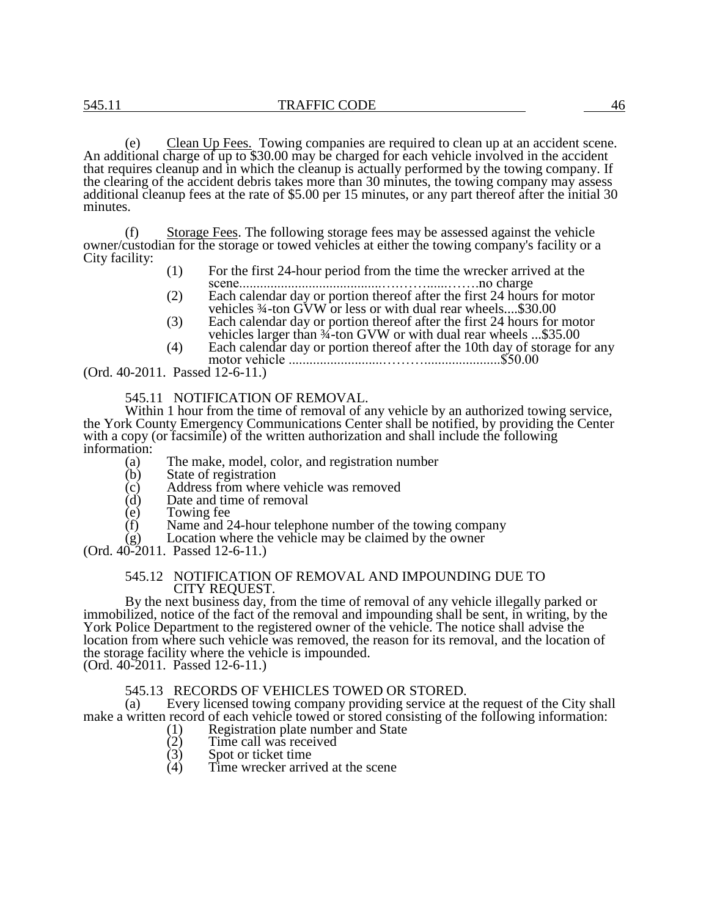(e) Clean Up Fees. Towing companies are required to clean up at an accident scene. An additional charge of up to \$30.00 may be charged for each vehicle involved in the accident that requires cleanup and in which the cleanup is actually performed by the towing company. If the clearing of the accident debris takes more than 30 minutes, the towing company may assess additional cleanup fees at the rate of \$5.00 per 15 minutes, or any part thereof after the initial 30 minutes.

(f) Storage Fees. The following storage fees may be assessed against the vehicle owner/custodian for the storage or towed vehicles at either the towing company's facility or a City facility:

- (1) For the first 24-hour period from the time the wrecker arrived at the scene.........................................….……......…….no charge
- (2) Each calendar day or portion thereof after the first 24 hours for motor vehicles ¾-ton GVW or less or with dual rear wheels....\$30.00
- (3) Each calendar day or portion thereof after the first 24 hours for motor vehicles larger than  $\frac{3}{4}$ -ton GVW or with dual rear wheels ...\$35.00
- (4) Each calendar day or portion thereof after the 10th day of storage for any motor vehicle ...........................………......................\$50.00

(Ord. 40-2011. Passed 12-6-11.)

545.11 NOTIFICATION OF REMOVAL.

Within 1 hour from the time of removal of any vehicle by an authorized towing service, the York County Emergency Communications Center shall be notified, by providing the Center with a copy (or facsimile) of the written authorization and shall include the following information:

- (a) The make, model, color, and registration number
- (b) State of registration<br>(c) Address from where
- (c) Address from where vehicle was removed<br>(d) Date and time of removal
- $(d)$  Date and time of removal  $(e)$  Towing fee
- Towing fee
- (f) Name and 24-hour telephone number of the towing company
- (g) Location where the vehicle may be claimed by the owner
- (Ord. 40-2011. Passed 12-6-11.)

### 545.12 NOTIFICATION OF REMOVAL AND IMPOUNDING DUE TO CITY REQUEST.

By the next business day, from the time of removal of any vehicle illegally parked or immobilized, notice of the fact of the removal and impounding shall be sent, in writing, by the York Police Department to the registered owner of the vehicle. The notice shall advise the location from where such vehicle was removed, the reason for its removal, and the location of the storage facility where the vehicle is impounded. (Ord. 40-2011. Passed 12-6-11.)

545.13 RECORDS OF VEHICLES TOWED OR STORED.<br>(a) Every licensed towing company providing service at the

Every licensed towing company providing service at the request of the City shall make a written record of each vehicle towed or stored consisting of the following information:<br>(1) Registration plate number and State<br>(2) Time call was received

- Registration plate number and State
- $(2)$  Time call was received<br> $(3)$  Spot or ticket time
- (3) Spot or ticket time<br>(4) Time wrecker arriv
- Time wrecker arrived at the scene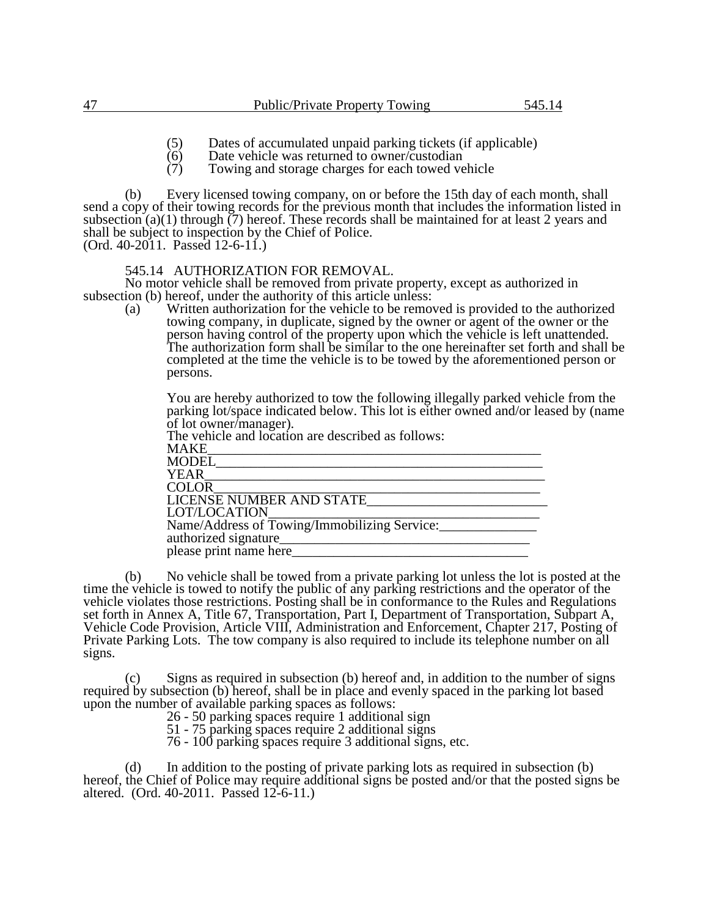- (5) Dates of accumulated unpaid parking tickets (if applicable)<br>(6) Date vehicle was returned to owner/custodian
- (6) Date vehicle was returned to owner/custodian<br>(7) Towing and storage charges for each towed ve
- Towing and storage charges for each towed vehicle

(b) Every licensed towing company, on or before the 15th day of each month, shall send a copy of their towing records for the previous month that includes the information listed in subsection  $(a)(1)$  through  $(7)$  hereof. These records shall be maintained for at least 2 years and shall be subject to inspection by the Chief of Police.

(Ord. 40-2011. Passed 12-6-11.)

# 545.14 AUTHORIZATION FOR REMOVAL.

No motor vehicle shall be removed from private property, except as authorized in subsection (b) hereof, under the authority of this article unless:

(a) Written authorization for the vehicle to be removed is provided to the authorized towing company, in duplicate, signed by the owner or agent of the owner or the person having control of the property upon which the vehicle is left unattended. The authorization form shall be similar to the one hereinafter set forth and shall be completed at the time the vehicle is to be towed by the aforementioned person or persons.

You are hereby authorized to tow the following illegally parked vehicle from the parking lot/space indicated below. This lot is either owned and/or leased by (name of lot owner/manager).

| The vehicle and location are described as follows: |  |
|----------------------------------------------------|--|
| MAKE                                               |  |
| MODEL                                              |  |
| YEAR                                               |  |
| COLOR                                              |  |
| LICENSE NUMBER AND STATE                           |  |
| LOT/LOCATION                                       |  |
| Name/Address of Towing/Immobilizing Service:       |  |
| authorized signature_                              |  |
| please print name here_                            |  |
|                                                    |  |

(b) No vehicle shall be towed from a private parking lot unless the lot is posted at the time the vehicle is towed to notify the public of any parking restrictions and the operator of the vehicle violates those restrictions. Posting shall be in conformance to the Rules and Regulations set forth in Annex A, Title 67, Transportation, Part I, Department of Transportation, Subpart A, Vehicle Code Provision, Article VIII, Administration and Enforcement, Chapter 217, Posting of Private Parking Lots. The tow company is also required to include its telephone number on all signs.

(c) Signs as required in subsection (b) hereof and, in addition to the number of signs required by subsection (b) hereof, shall be in place and evenly spaced in the parking lot based upon the number of available parking spaces as follows:

26 - 50 parking spaces require 1 additional sign

51 - 75 parking spaces require 2 additional signs

76 - 100 parking spaces require 3 additional signs, etc.

(d) In addition to the posting of private parking lots as required in subsection (b) hereof, the Chief of Police may require additional signs be posted and/or that the posted signs be altered. (Ord. 40-2011. Passed 12-6-11.)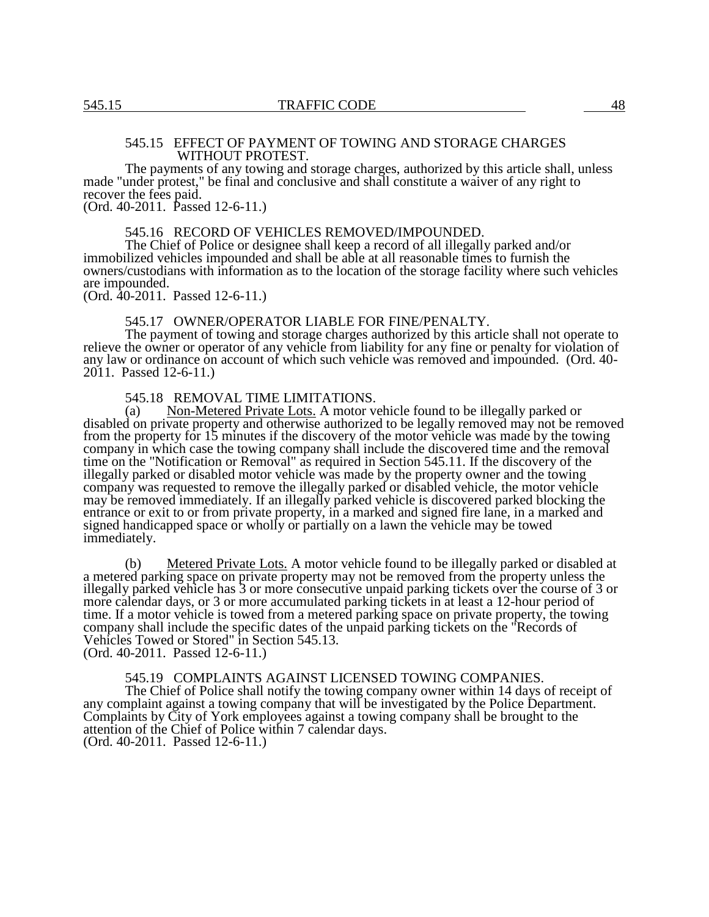## 545.15 EFFECT OF PAYMENT OF TOWING AND STORAGE CHARGES WITHOUT PROTEST.

The payments of any towing and storage charges, authorized by this article shall, unless made "under protest," be final and conclusive and shall constitute a waiver of any right to recover the fees paid. (Ord. 40-2011. Passed 12-6-11.)

## 545.16 RECORD OF VEHICLES REMOVED/IMPOUNDED.

The Chief of Police or designee shall keep a record of all illegally parked and/or immobilized vehicles impounded and shall be able at all reasonable times to furnish the owners/custodians with information as to the location of the storage facility where such vehicles are impounded.

(Ord. 40-2011. Passed 12-6-11.)

#### 545.17 OWNER/OPERATOR LIABLE FOR FINE/PENALTY.

The payment of towing and storage charges authorized by this article shall not operate to relieve the owner or operator of any vehicle from liability for any fine or penalty for violation of any law or ordinance on account of which such vehicle was removed and impounded. (Ord. 40-2011. Passed 12-6-11.)

545.18 REMOVAL TIME LIMITATIONS.

(a) Non-Metered Private Lots. A motor vehicle found to be illegally parked or disabled on private property and otherwise authorized to be legally removed may not be removed from the property for 15 minutes if the discovery of the motor vehicle was made by the towing company in which case the towing company shall include the discovered time and the removal time on the "Notification or Removal" as required in Section 545.11. If the discovery of the illegally parked or disabled motor vehicle was made by the property owner and the towing company was requested to remove the illegally parked or disabled vehicle, the motor vehicle may be removed immediately. If an illegally parked vehicle is discovered parked blocking the entrance or exit to or from private property, in a marked and signed fire lane, in a marked and signed handicapped space or wholly or partially on a lawn the vehicle may be towed immediately.

(b) Metered Private Lots. A motor vehicle found to be illegally parked or disabled at a metered parking space on private property may not be removed from the property unless the illegally parked vehicle has 3 or more consecutive unpaid parking tickets over the course of 3 or more calendar days, or 3 or more accumulated parking tickets in at least a 12-hour period of time. If a motor vehicle is towed from a metered parking space on private property, the towing company shall include the specific dates of the unpaid parking tickets on the "Records of Vehicles Towed or Stored" in Section 545.13.

(Ord. 40-2011. Passed 12-6-11.)

# 545.19 COMPLAINTS AGAINST LICENSED TOWING COMPANIES.

The Chief of Police shall notify the towing company owner within 14 days of receipt of any complaint against a towing company that will be investigated by the Police Department. Complaints by City of York employees against a towing company shall be brought to the attention of the Chief of Police within 7 calendar days. (Ord. 40-2011. Passed 12-6-11.)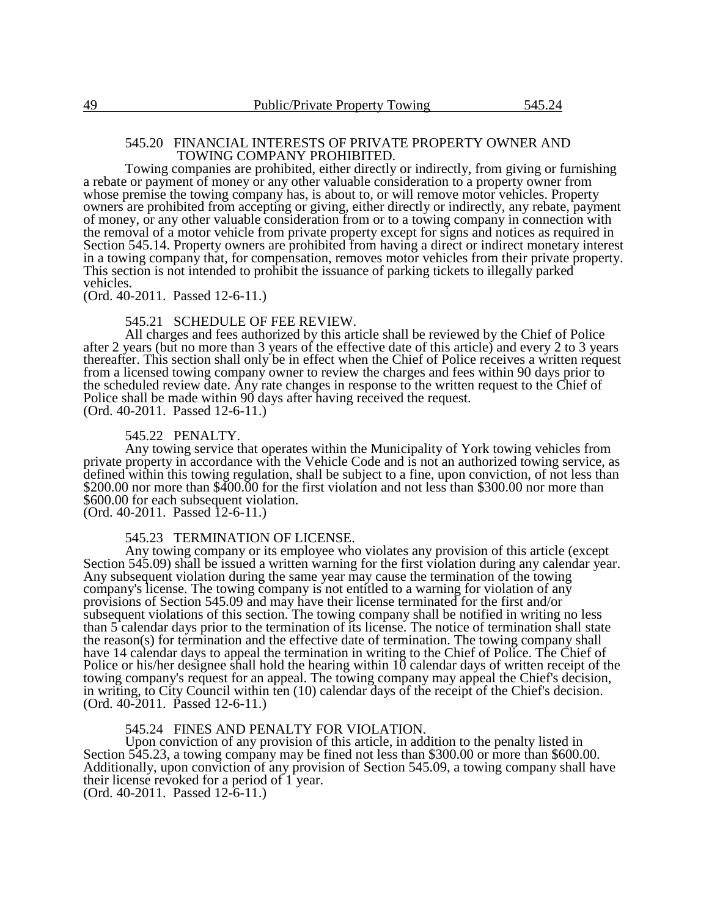#### 545.20 FINANCIAL INTERESTS OF PRIVATE PROPERTY OWNER AND TOWING COMPANY PROHIBITED.

Towing companies are prohibited, either directly or indirectly, from giving or furnishing a rebate or payment of money or any other valuable consideration to a property owner from whose premise the towing company has, is about to, or will remove motor vehicles. Property owners are prohibited from accepting or giving, either directly or indirectly, any rebate, payment of money, or any other valuable consideration from or to a towing company in connection with the removal of a motor vehicle from private property except for signs and notices as required in Section 545.14. Property owners are prohibited from having a direct or indirect monetary interest in a towing company that, for compensation, removes motor vehicles from their private property. This section is not intended to prohibit the issuance of parking tickets to illegally parked vehicles.

(Ord. 40-2011. Passed 12-6-11.)

#### 545.21 SCHEDULE OF FEE REVIEW.

All charges and fees authorized by this article shall be reviewed by the Chief of Police after 2 years (but no more than 3 years of the effective date of this article) and every 2 to 3 years thereafter. This section shall only be in effect when the Chief of Police receives a written request from a licensed towing company owner to review the charges and fees within 90 days prior to the scheduled review date. Any rate changes in response to the written request to the Chief of Police shall be made within 90 days after having received the request. (Ord. 40-2011. Passed 12-6-11.)

#### 545.22 PENALTY.

Any towing service that operates within the Municipality of York towing vehicles from private property in accordance with the Vehicle Code and is not an authorized towing service, as defined within this towing regulation, shall be subject to a fine, upon conviction, of not less than \$200.00 nor more than \$400.00 for the first violation and not less than \$300.00 nor more than \$600.00 for each subsequent violation. (Ord. 40-2011. Passed 12-6-11.)

### 545.23 TERMINATION OF LICENSE.

Any towing company or its employee who violates any provision of this article (except Section 545.09) shall be issued a written warning for the first violation during any calendar year. Any subsequent violation during the same year may cause the termination of the towing company's license. The towing company is not entitled to a warning for violation of any provisions of Section 545.09 and may have their license terminated for the first and/or subsequent violations of this section. The towing company shall be notified in writing no less than 5 calendar days prior to the termination of its license. The notice of termination shall state the reason(s) for termination and the effective date of termination. The towing company shall have 14 calendar days to appeal the termination in writing to the Chief of Police. The Chief of Police or his/her designee shall hold the hearing within 10 calendar days of written receipt of the towing company's request for an appeal. The towing company may appeal the Chief's decision, in writing, to City Council within ten (10) calendar days of the receipt of the Chief's decision. (Ord. 40-2011. Passed 12-6-11.)

#### 545.24 FINES AND PENALTY FOR VIOLATION.

Upon conviction of any provision of this article, in addition to the penalty listed in Section 545.23, a towing company may be fined not less than \$300.00 or more than \$600.00. Additionally, upon conviction of any provision of Section 545.09, a towing company shall have their license revoked for a period of 1 year.

(Ord. 40-2011. Passed 12-6-11.)